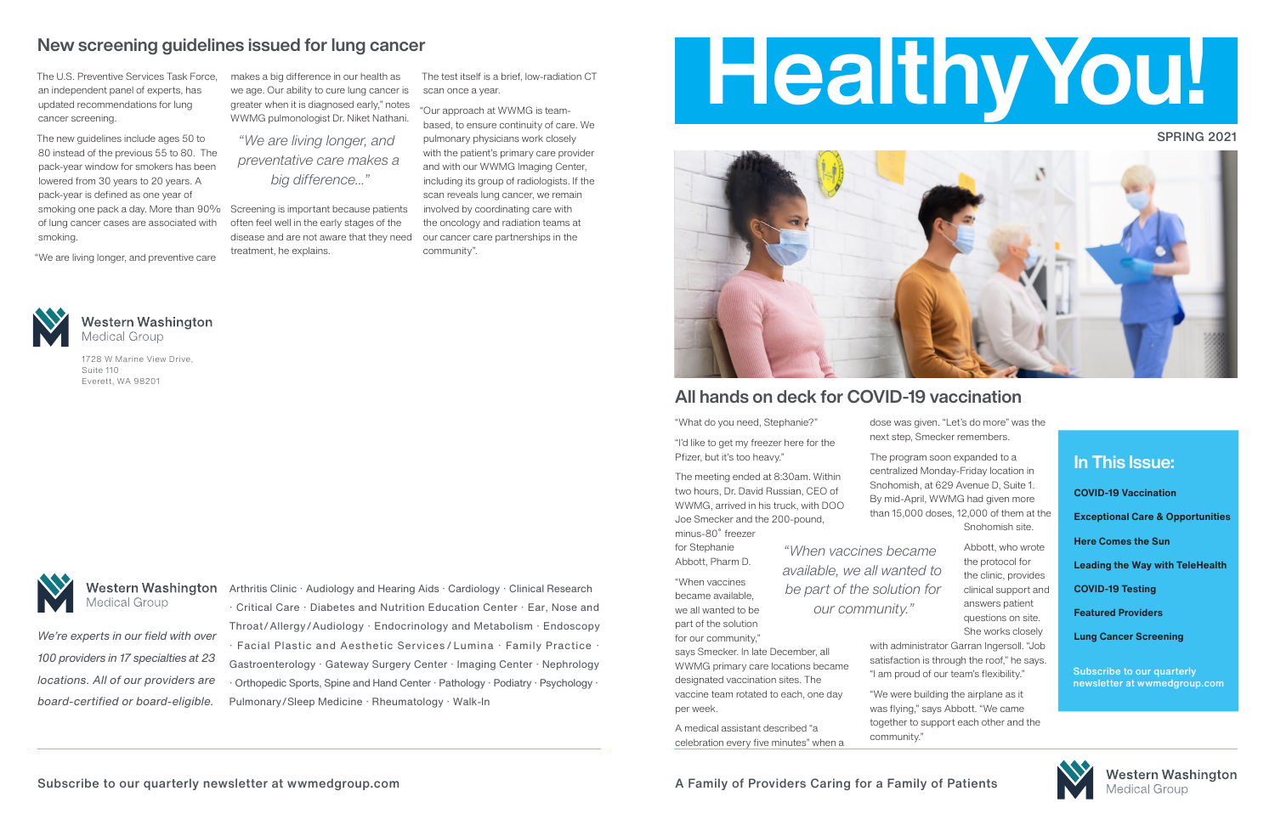### SPRING 2021



"What do you need, Stephanie?"

"I'd like to get my freezer here for the Pfizer, but it's too heavy."

The meeting ended at 8:30am. Within two hours, Dr. David Russian, CEO of WWMG, arrived in his truck, with DOO Joe Smecker and the 200-pound, minus-80˚ freezer

for Stephanie Abbott, Pharm D.

"When vaccines became available, we all wanted to be part of the solution for our community,"

says Smecker. In late December, all WWMG primary care locations became designated vaccination sites. The vaccine team rotated to each, one day per week.

A medical assistant described "a celebration every five minutes" when a dose was given. "Let's do more" was the next step, Smecker remembers.

The program soon expanded to a centralized Monday-Friday location in Snohomish, at 629 Avenue D, Suite 1. By mid-April, WWMG had given more than 15,000 doses, 12,000 of them at the Snohomish site.

> Abbott, who wrote the protocol for the clinic, provides clinical support and answers patient questions on site. She works closely

with administrator Garran Ingersoll. "Job satisfaction is through the roof," he says. "I am proud of our team's flexibility."

**Western Washington** Arthritis Clinic · Audiology and Hearing Aids · Cardiology · Clinical Research · Critical Care · Diabetes and Nutrition Education Center · Ear, Nose and Throat/Allergy/Audiology · Endocrinology and Metabolism · Endoscopy · Facial Plastic and Aesthetic Services / Lumina · Family Practice · Gastroenterology · Gateway Surgery Center · Imaging Center · Nephrology · Orthopedic Sports, Spine and Hand Center · Pathology · Podiatry · Psychology · Pulmonary/Sleep Medicine · Rheumatology · Walk-In

"We were building the airplane as it was flying," says Abbott. "We came together to support each other and the community."

**Medical Group** 



# In This Issue:

**COVID-19 Vaccination**

**Exceptional Care & Opportunities**

**Here Comes the Sun**

**Leading the Way with TeleHealth**

**COVID-19 Testing**

**Featured Providers**

**Lung Cancer Screening**

Subscribe to our quarterly newsletter at wwmedgroup.com



**Western Washington Medical Group** 

# All hands on deck for COVID-19 vaccination

*"When vaccines became available, we all wanted to be part of the solution for our community."*

1728 W Marine View Drive,

**Western Washington** 

Suite 110

Everett, WA 98201

**Medical Group** 

*We're experts in our field with over 100 providers in 17 specialties at 23 locations. All of our providers are board-certified or board-eligible.* 

The U.S. Preventive Services Task Force, an independent panel of experts, has updated recommendations for lung cancer screening.

The new guidelines include ages 50 to 80 instead of the previous 55 to 80. The pack-year window for smokers has been lowered from 30 years to 20 years. A pack-year is defined as one year of smoking one pack a day. More than 90% of lung cancer cases are associated with smoking.

"We are living longer, and preventive care

makes a big difference in our health as we age. Our ability to cure lung cancer is greater when it is diagnosed early," notes WWMG pulmonologist Dr. Niket Nathani.

Screening is important because patients often feel well in the early stages of the disease and are not aware that they need treatment, he explains.

The test itself is a brief, low-radiation CT scan once a year.

"Our approach at WWMG is teambased, to ensure continuity of care. We pulmonary physicians work closely with the patient's primary care provider and with our WWMG Imaging Center, including its group of radiologists. If the scan reveals lung cancer, we remain involved by coordinating care with the oncology and radiation teams at our cancer care partnerships in the community".



# New screening guidelines issued for lung cancer

*"We are living longer, and preventative care makes a big difference..."*